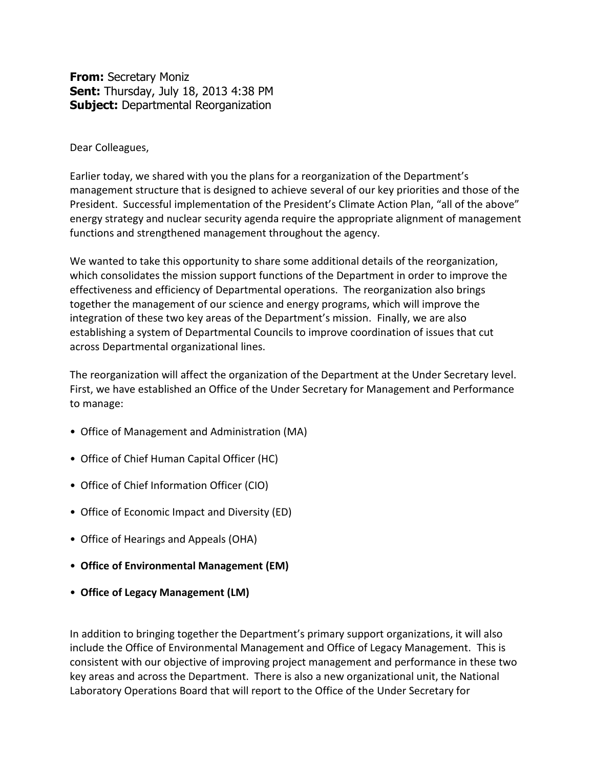**From:** Secretary Moniz **Sent:** Thursday, July 18, 2013 4:38 PM **Subject:** Departmental Reorganization

Dear Colleagues,

Earlier today, we shared with you the plans for a reorganization of the Department's management structure that is designed to achieve several of our key priorities and those of the President. Successful implementation of the President's Climate Action Plan, "all of the above" energy strategy and nuclear security agenda require the appropriate alignment of management functions and strengthened management throughout the agency.

We wanted to take this opportunity to share some additional details of the reorganization, which consolidates the mission support functions of the Department in order to improve the effectiveness and efficiency of Departmental operations. The reorganization also brings together the management of our science and energy programs, which will improve the integration of these two key areas of the Department's mission. Finally, we are also establishing a system of Departmental Councils to improve coordination of issues that cut across Departmental organizational lines.

The reorganization will affect the organization of the Department at the Under Secretary level. First, we have established an Office of the Under Secretary for Management and Performance to manage:

- Office of Management and Administration (MA)
- Office of Chief Human Capital Officer (HC)
- Office of Chief Information Officer (CIO)
- Office of Economic Impact and Diversity (ED)
- Office of Hearings and Appeals (OHA)
- **Office of Environmental Management (EM)**
- **Office of Legacy Management (LM)**

In addition to bringing together the Department's primary support organizations, it will also include the Office of Environmental Management and Office of Legacy Management. This is consistent with our objective of improving project management and performance in these two key areas and across the Department. There is also a new organizational unit, the National Laboratory Operations Board that will report to the Office of the Under Secretary for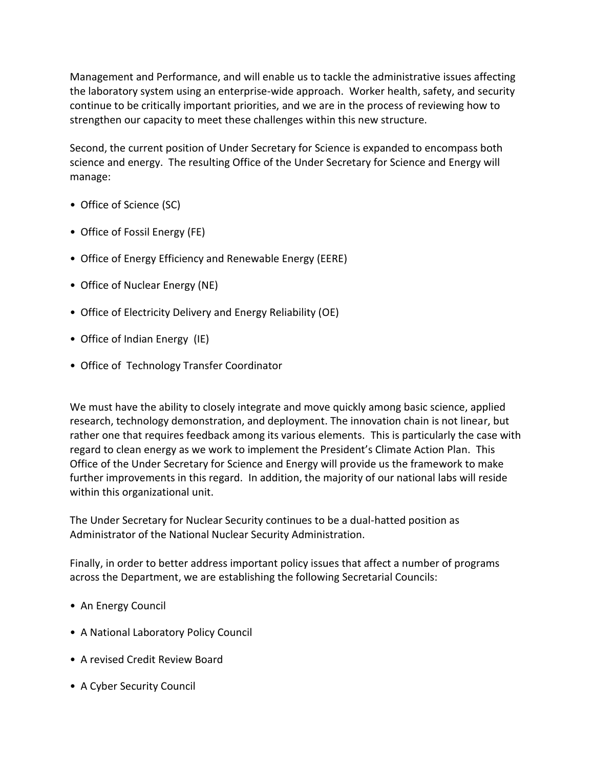Management and Performance, and will enable us to tackle the administrative issues affecting the laboratory system using an enterprise-wide approach. Worker health, safety, and security continue to be critically important priorities, and we are in the process of reviewing how to strengthen our capacity to meet these challenges within this new structure.

Second, the current position of Under Secretary for Science is expanded to encompass both science and energy. The resulting Office of the Under Secretary for Science and Energy will manage:

- Office of Science (SC)
- Office of Fossil Energy (FE)
- Office of Energy Efficiency and Renewable Energy (EERE)
- Office of Nuclear Energy (NE)
- Office of Electricity Delivery and Energy Reliability (OE)
- Office of Indian Energy (IE)
- Office of Technology Transfer Coordinator

We must have the ability to closely integrate and move quickly among basic science, applied research, technology demonstration, and deployment. The innovation chain is not linear, but rather one that requires feedback among its various elements. This is particularly the case with regard to clean energy as we work to implement the President's Climate Action Plan. This Office of the Under Secretary for Science and Energy will provide us the framework to make further improvements in this regard. In addition, the majority of our national labs will reside within this organizational unit.

The Under Secretary for Nuclear Security continues to be a dual-hatted position as Administrator of the National Nuclear Security Administration.

Finally, in order to better address important policy issues that affect a number of programs across the Department, we are establishing the following Secretarial Councils:

- An Energy Council
- A National Laboratory Policy Council
- A revised Credit Review Board
- A Cyber Security Council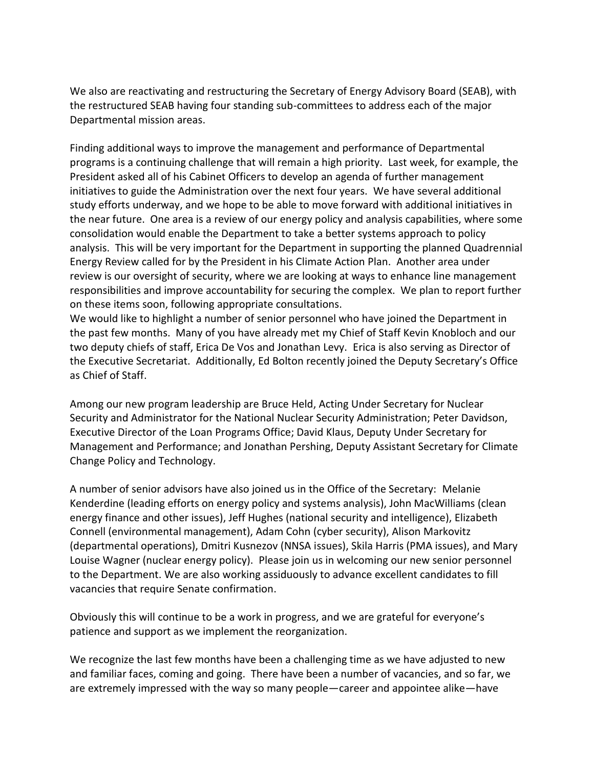We also are reactivating and restructuring the Secretary of Energy Advisory Board (SEAB), with the restructured SEAB having four standing sub-committees to address each of the major Departmental mission areas.

Finding additional ways to improve the management and performance of Departmental programs is a continuing challenge that will remain a high priority. Last week, for example, the President asked all of his Cabinet Officers to develop an agenda of further management initiatives to guide the Administration over the next four years. We have several additional study efforts underway, and we hope to be able to move forward with additional initiatives in the near future. One area is a review of our energy policy and analysis capabilities, where some consolidation would enable the Department to take a better systems approach to policy analysis. This will be very important for the Department in supporting the planned Quadrennial Energy Review called for by the President in his Climate Action Plan. Another area under review is our oversight of security, where we are looking at ways to enhance line management responsibilities and improve accountability for securing the complex. We plan to report further on these items soon, following appropriate consultations.

We would like to highlight a number of senior personnel who have joined the Department in the past few months. Many of you have already met my Chief of Staff Kevin Knobloch and our two deputy chiefs of staff, Erica De Vos and Jonathan Levy. Erica is also serving as Director of the Executive Secretariat. Additionally, Ed Bolton recently joined the Deputy Secretary's Office as Chief of Staff.

Among our new program leadership are Bruce Held, Acting Under Secretary for Nuclear Security and Administrator for the National Nuclear Security Administration; Peter Davidson, Executive Director of the Loan Programs Office; David Klaus, Deputy Under Secretary for Management and Performance; and Jonathan Pershing, Deputy Assistant Secretary for Climate Change Policy and Technology.

A number of senior advisors have also joined us in the Office of the Secretary: Melanie Kenderdine (leading efforts on energy policy and systems analysis), John MacWilliams (clean energy finance and other issues), Jeff Hughes (national security and intelligence), Elizabeth Connell (environmental management), Adam Cohn (cyber security), Alison Markovitz (departmental operations), Dmitri Kusnezov (NNSA issues), Skila Harris (PMA issues), and Mary Louise Wagner (nuclear energy policy). Please join us in welcoming our new senior personnel to the Department. We are also working assiduously to advance excellent candidates to fill vacancies that require Senate confirmation.

Obviously this will continue to be a work in progress, and we are grateful for everyone's patience and support as we implement the reorganization.

We recognize the last few months have been a challenging time as we have adjusted to new and familiar faces, coming and going. There have been a number of vacancies, and so far, we are extremely impressed with the way so many people—career and appointee alike—have